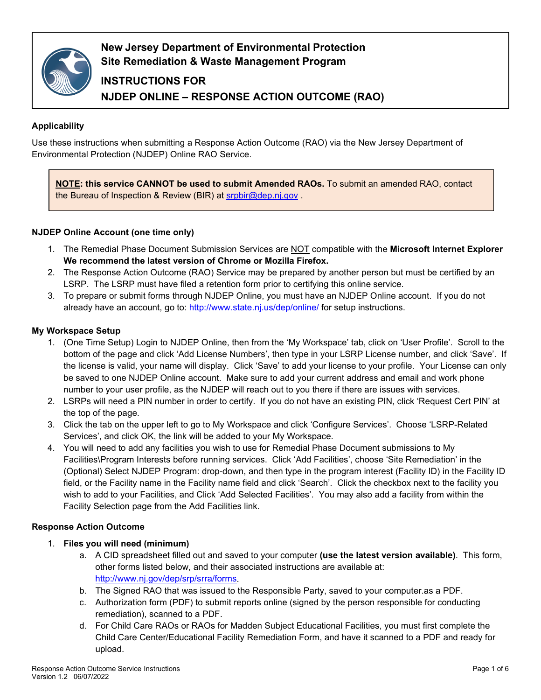

**New Jersey Department of Environmental Protection Site Remediation & Waste Management Program**

# **INSTRUCTIONS FOR NJDEP ONLINE – RESPONSE ACTION OUTCOME (RAO)**

# **Applicability**

Use these instructions when submitting a Response Action Outcome (RAO) via the New Jersey Department of Environmental Protection (NJDEP) Online RAO Service.

**NOTE: this service CANNOT be used to submit Amended RAOs.** To submit an amended RAO, contact the Bureau of Inspection & Review (BIR) at [srpbir@dep.nj.gov](mailto:srpbir@dep.nj.gov) .

# **NJDEP Online Account (one time only)**

- 1. The Remedial Phase Document Submission Services are NOT compatible with the **Microsoft Internet Explorer We recommend the latest version of Chrome or Mozilla Firefox.**
- 2. The Response Action Outcome (RAO) Service may be prepared by another person but must be certified by an LSRP. The LSRP must have filed a retention form prior to certifying this online service.
- 3. To prepare or submit forms through NJDEP Online, you must have an NJDEP Online account. If you do not already have an account, go to:<http://www.state.nj.us/dep/online/> for setup instructions.

## **My Workspace Setup**

- 1. (One Time Setup) Login to NJDEP Online, then from the 'My Workspace' tab, click on 'User Profile'. Scroll to the bottom of the page and click 'Add License Numbers', then type in your LSRP License number, and click 'Save'. If the license is valid, your name will display. Click 'Save' to add your license to your profile. Your License can only be saved to one NJDEP Online account. Make sure to add your current address and email and work phone number to your user profile, as the NJDEP will reach out to you there if there are issues with services.
- 2. LSRPs will need a PIN number in order to certify. If you do not have an existing PIN, click 'Request Cert PIN' at the top of the page.
- 3. Click the tab on the upper left to go to My Workspace and click 'Configure Services'. Choose 'LSRP-Related Services', and click OK, the link will be added to your My Workspace.
- 4. You will need to add any facilities you wish to use for Remedial Phase Document submissions to My Facilities\Program Interests before running services. Click 'Add Facilities', choose 'Site Remediation' in the (Optional) Select NJDEP Program: drop-down, and then type in the program interest (Facility ID) in the Facility ID field, or the Facility name in the Facility name field and click 'Search'. Click the checkbox next to the facility you wish to add to your Facilities, and Click 'Add Selected Facilities'. You may also add a facility from within the Facility Selection page from the Add Facilities link.

#### **Response Action Outcome**

- 1. **Files you will need (minimum)**
	- a. A CID spreadsheet filled out and saved to your computer **(use the latest version available)**. This form, other forms listed below, and their associated instructions are available at: [http://www.nj.gov/dep/srp/srra/forms.](http://www.nj.gov/dep/srp/srra/forms)
	- b. The Signed RAO that was issued to the Responsible Party, saved to your computer.as a PDF.
	- c. Authorization form (PDF) to submit reports online (signed by the person responsible for conducting remediation), scanned to a PDF.
	- d. For Child Care RAOs or RAOs for Madden Subject Educational Facilities, you must first complete the Child Care Center/Educational Facility Remediation Form, and have it scanned to a PDF and ready for upload.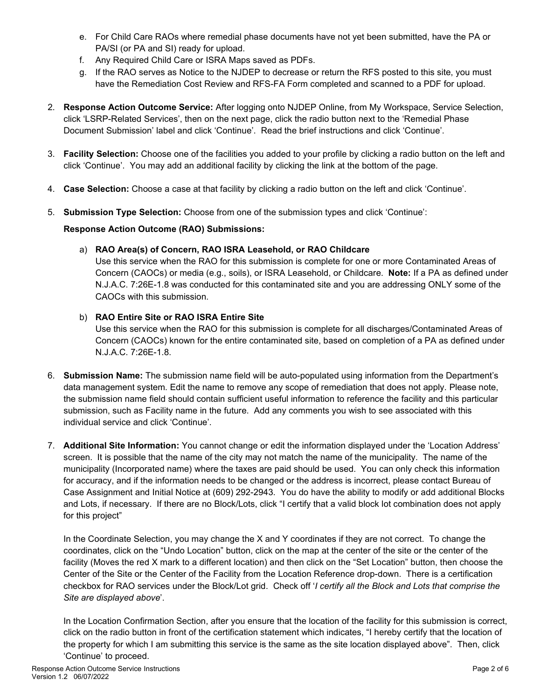- e. For Child Care RAOs where remedial phase documents have not yet been submitted, have the PA or PA/SI (or PA and SI) ready for upload.
- f. Any Required Child Care or ISRA Maps saved as PDFs.
- g. If the RAO serves as Notice to the NJDEP to decrease or return the RFS posted to this site, you must have the Remediation Cost Review and RFS-FA Form completed and scanned to a PDF for upload.
- 2. **Response Action Outcome Service:** After logging onto NJDEP Online, from My Workspace, Service Selection, click 'LSRP-Related Services', then on the next page, click the radio button next to the 'Remedial Phase Document Submission' label and click 'Continue'. Read the brief instructions and click 'Continue'.
- 3. **Facility Selection:** Choose one of the facilities you added to your profile by clicking a radio button on the left and click 'Continue'. You may add an additional facility by clicking the link at the bottom of the page.
- 4. **Case Selection:** Choose a case at that facility by clicking a radio button on the left and click 'Continue'.
- 5. **Submission Type Selection:** Choose from one of the submission types and click 'Continue':

## **Response Action Outcome (RAO) Submissions:**

## a) **RAO Area(s) of Concern, RAO ISRA Leasehold, or RAO Childcare**

Use this service when the RAO for this submission is complete for one or more Contaminated Areas of Concern (CAOCs) or media (e.g., soils), or ISRA Leasehold, or Childcare. **Note:** If a PA as defined under N.J.A.C. 7:26E-1.8 was conducted for this contaminated site and you are addressing ONLY some of the CAOCs with this submission.

## b) **RAO Entire Site or RAO ISRA Entire Site**

Use this service when the RAO for this submission is complete for all discharges/Contaminated Areas of Concern (CAOCs) known for the entire contaminated site, based on completion of a PA as defined under N.J.A.C. 7:26E-1.8.

- 6. **Submission Name:** The submission name field will be auto-populated using information from the Department's data management system. Edit the name to remove any scope of remediation that does not apply. Please note, the submission name field should contain sufficient useful information to reference the facility and this particular submission, such as Facility name in the future. Add any comments you wish to see associated with this individual service and click 'Continue'.
- 7. **Additional Site Information:** You cannot change or edit the information displayed under the 'Location Address' screen. It is possible that the name of the city may not match the name of the municipality. The name of the municipality (Incorporated name) where the taxes are paid should be used. You can only check this information for accuracy, and if the information needs to be changed or the address is incorrect, please contact Bureau of Case Assignment and Initial Notice at (609) 292-2943. You do have the ability to modify or add additional Blocks and Lots, if necessary. If there are no Block/Lots, click "I certify that a valid block lot combination does not apply for this project"

In the Coordinate Selection, you may change the X and Y coordinates if they are not correct. To change the coordinates, click on the "Undo Location" button, click on the map at the center of the site or the center of the facility (Moves the red X mark to a different location) and then click on the "Set Location" button, then choose the Center of the Site or the Center of the Facility from the Location Reference drop-down. There is a certification checkbox for RAO services under the Block/Lot grid. Check off '*I certify all the Block and Lots that comprise the Site are displayed above*'.

In the Location Confirmation Section, after you ensure that the location of the facility for this submission is correct, click on the radio button in front of the certification statement which indicates, "I hereby certify that the location of the property for which I am submitting this service is the same as the site location displayed above". Then, click 'Continue' to proceed.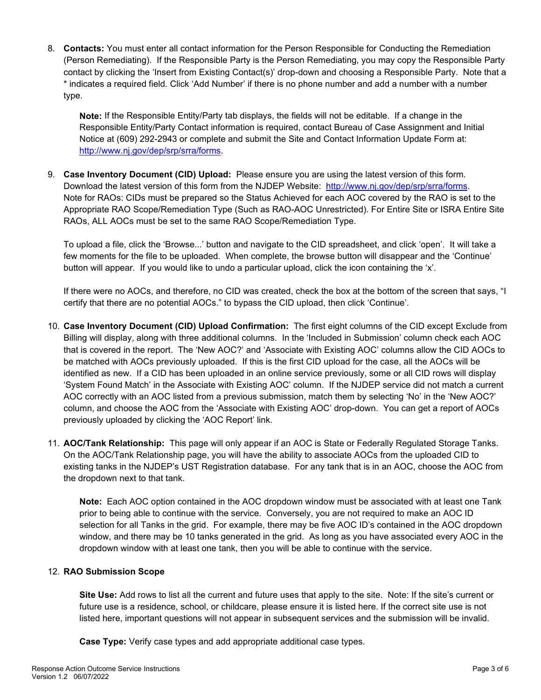8. **Contacts:** You must enter all contact information for the Person Responsible for Conducting the Remediation (Person Remediating). If the Responsible Party is the Person Remediating, you may copy the Responsible Party contact by clicking the 'Insert from Existing Contact(s)' drop-down and choosing a Responsible Party. Note that a \* indicates a required field. Click 'Add Number' if there is no phone number and add a number with a number type.

**Note:** If the Responsible Entity/Party tab displays, the fields will not be editable. If a change in the Responsible Entity/Party Contact information is required, contact Bureau of Case Assignment and Initial Notice at (609) 292-2943 or complete and submit the Site and Contact Information Update Form at: [http://www.nj.gov/dep/srp/srra/forms.](http://www.nj.gov/dep/srp/srra/forms)

9. **Case Inventory Document (CID) Upload:** Please ensure you are using the latest version of this form. Download the latest version of this form from the NJDEP Website: [http://www.nj.gov/dep/srp/srra/forms.](http://www.nj.gov/dep/srp/srra/forms) Note for RAOs: CIDs must be prepared so the Status Achieved for each AOC covered by the RAO is set to the Appropriate RAO Scope/Remediation Type (Such as RAO-AOC Unrestricted). For Entire Site or ISRA Entire Site RAOs, ALL AOCs must be set to the same RAO Scope/Remediation Type.

To upload a file, click the 'Browse...' button and navigate to the CID spreadsheet, and click 'open'. It will take a few moments for the file to be uploaded. When complete, the browse button will disappear and the 'Continue' button will appear. If you would like to undo a particular upload, click the icon containing the 'x'.

If there were no AOCs, and therefore, no CID was created, check the box at the bottom of the screen that says, "I certify that there are no potential AOCs." to bypass the CID upload, then click 'Continue'.

- 10. **Case Inventory Document (CID) Upload Confirmation:** The first eight columns of the CID except Exclude from Billing will display, along with three additional columns. In the 'Included in Submission' column check each AOC that is covered in the report. The 'New AOC?' and 'Associate with Existing AOC' columns allow the CID AOCs to be matched with AOCs previously uploaded. If this is the first CID upload for the case, all the AOCs will be identified as new. If a CID has been uploaded in an online service previously, some or all CID rows will display 'System Found Match' in the Associate with Existing AOC' column. If the NJDEP service did not match a current AOC correctly with an AOC listed from a previous submission, match them by selecting 'No' in the 'New AOC?' column, and choose the AOC from the 'Associate with Existing AOC' drop-down. You can get a report of AOCs previously uploaded by clicking the 'AOC Report' link.
- 11. **AOC/Tank Relationship:** This page will only appear if an AOC is State or Federally Regulated Storage Tanks. On the AOC/Tank Relationship page, you will have the ability to associate AOCs from the uploaded CID to existing tanks in the NJDEP's UST Registration database. For any tank that is in an AOC, choose the AOC from the dropdown next to that tank.

**Note:** Each AOC option contained in the AOC dropdown window must be associated with at least one Tank prior to being able to continue with the service. Conversely, you are not required to make an AOC ID selection for all Tanks in the grid. For example, there may be five AOC ID's contained in the AOC dropdown window, and there may be 10 tanks generated in the grid. As long as you have associated every AOC in the dropdown window with at least one tank, then you will be able to continue with the service.

#### 12. **RAO Submission Scope**

**Site Use:** Add rows to list all the current and future uses that apply to the site. Note: If the site's current or future use is a residence, school, or childcare, please ensure it is listed here. If the correct site use is not listed here, important questions will not appear in subsequent services and the submission will be invalid.

**Case Type:** Verify case types and add appropriate additional case types.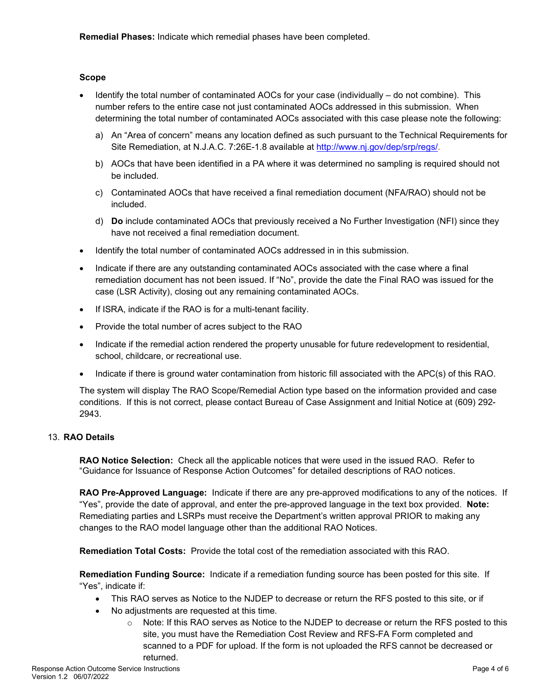**Remedial Phases:** Indicate which remedial phases have been completed.

#### **Scope**

- Identify the total number of contaminated AOCs for your case (individually do not combine). This number refers to the entire case not just contaminated AOCs addressed in this submission. When determining the total number of contaminated AOCs associated with this case please note the following:
	- a) An "Area of concern" means any location defined as such pursuant to the Technical Requirements for Site Remediation, at N.J.A.C. 7:26E-1.8 available at [http://www.nj.gov/dep/srp/regs/.](http://www.nj.gov/dep/srp/regs/)
	- b) AOCs that have been identified in a PA where it was determined no sampling is required should not be included.
	- c) Contaminated AOCs that have received a final remediation document (NFA/RAO) should not be included.
	- d) **Do** include contaminated AOCs that previously received a No Further Investigation (NFI) since they have not received a final remediation document.
- Identify the total number of contaminated AOCs addressed in in this submission.
- Indicate if there are any outstanding contaminated AOCs associated with the case where a final remediation document has not been issued. If "No", provide the date the Final RAO was issued for the case (LSR Activity), closing out any remaining contaminated AOCs.
- If ISRA, indicate if the RAO is for a multi-tenant facility.
- Provide the total number of acres subject to the RAO
- Indicate if the remedial action rendered the property unusable for future redevelopment to residential, school, childcare, or recreational use.
- Indicate if there is ground water contamination from historic fill associated with the APC(s) of this RAO.

The system will display The RAO Scope/Remedial Action type based on the information provided and case conditions. If this is not correct, please contact Bureau of Case Assignment and Initial Notice at (609) 292- 2943.

#### 13. **RAO Details**

**RAO Notice Selection:** Check all the applicable notices that were used in the issued RAO. Refer to "Guidance for Issuance of Response Action Outcomes" for detailed descriptions of RAO notices.

**RAO Pre-Approved Language:** Indicate if there are any pre-approved modifications to any of the notices. If "Yes", provide the date of approval, and enter the pre-approved language in the text box provided. **Note:**  Remediating parties and LSRPs must receive the Department's written approval PRIOR to making any changes to the RAO model language other than the additional RAO Notices.

**Remediation Total Costs:** Provide the total cost of the remediation associated with this RAO.

**Remediation Funding Source:** Indicate if a remediation funding source has been posted for this site. If "Yes", indicate if:

- This RAO serves as Notice to the NJDEP to decrease or return the RFS posted to this site, or if
- No adjustments are requested at this time.
	- $\circ$  Note: If this RAO serves as Notice to the NJDEP to decrease or return the RFS posted to this site, you must have the Remediation Cost Review and RFS-FA Form completed and scanned to a PDF for upload. If the form is not uploaded the RFS cannot be decreased or returned.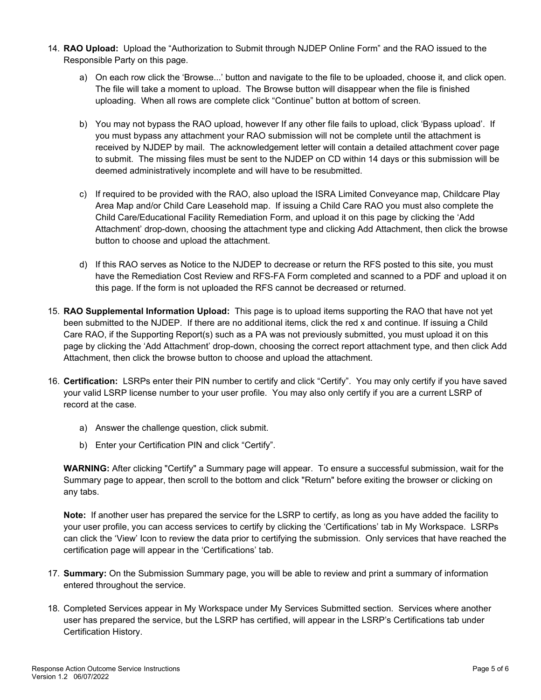- 14. **RAO Upload:** Upload the "Authorization to Submit through NJDEP Online Form" and the RAO issued to the Responsible Party on this page.
	- a) On each row click the 'Browse...' button and navigate to the file to be uploaded, choose it, and click open. The file will take a moment to upload. The Browse button will disappear when the file is finished uploading. When all rows are complete click "Continue" button at bottom of screen.
	- b) You may not bypass the RAO upload, however If any other file fails to upload, click 'Bypass upload'. If you must bypass any attachment your RAO submission will not be complete until the attachment is received by NJDEP by mail. The acknowledgement letter will contain a detailed attachment cover page to submit. The missing files must be sent to the NJDEP on CD within 14 days or this submission will be deemed administratively incomplete and will have to be resubmitted.
	- c) If required to be provided with the RAO, also upload the ISRA Limited Conveyance map, Childcare Play Area Map and/or Child Care Leasehold map. If issuing a Child Care RAO you must also complete the Child Care/Educational Facility Remediation Form, and upload it on this page by clicking the 'Add Attachment' drop-down, choosing the attachment type and clicking Add Attachment, then click the browse button to choose and upload the attachment.
	- d) If this RAO serves as Notice to the NJDEP to decrease or return the RFS posted to this site, you must have the Remediation Cost Review and RFS-FA Form completed and scanned to a PDF and upload it on this page. If the form is not uploaded the RFS cannot be decreased or returned.
- 15. **RAO Supplemental Information Upload:** This page is to upload items supporting the RAO that have not yet been submitted to the NJDEP. If there are no additional items, click the red x and continue. If issuing a Child Care RAO, if the Supporting Report(s) such as a PA was not previously submitted, you must upload it on this page by clicking the 'Add Attachment' drop-down, choosing the correct report attachment type, and then click Add Attachment, then click the browse button to choose and upload the attachment.
- 16. **Certification:** LSRPs enter their PIN number to certify and click "Certify". You may only certify if you have saved your valid LSRP license number to your user profile. You may also only certify if you are a current LSRP of record at the case.
	- a) Answer the challenge question, click submit.
	- b) Enter your Certification PIN and click "Certify".

**WARNING:** After clicking "Certify" a Summary page will appear. To ensure a successful submission, wait for the Summary page to appear, then scroll to the bottom and click "Return" before exiting the browser or clicking on any tabs.

**Note:** If another user has prepared the service for the LSRP to certify, as long as you have added the facility to your user profile, you can access services to certify by clicking the 'Certifications' tab in My Workspace. LSRPs can click the 'View' Icon to review the data prior to certifying the submission. Only services that have reached the certification page will appear in the 'Certifications' tab.

- 17. **Summary:** On the Submission Summary page, you will be able to review and print a summary of information entered throughout the service.
- 18. Completed Services appear in My Workspace under My Services Submitted section. Services where another user has prepared the service, but the LSRP has certified, will appear in the LSRP's Certifications tab under Certification History.